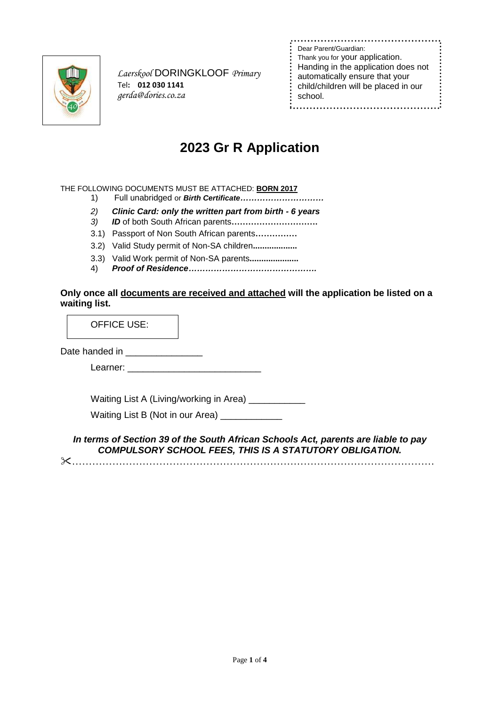

 *Laerskool* DORINGKLOOF *Primary* Tel**: 012 030 1141** *gerda@dories.co.za*

| Dear Parent/Guardian:<br>Thank you for your application.<br>Handing in the application does not<br>automatically ensure that your<br>child/children will be placed in our<br>school. |
|--------------------------------------------------------------------------------------------------------------------------------------------------------------------------------------|
|                                                                                                                                                                                      |

# **2023 Gr R Application**

### THE FOLLOWING DOCUMENTS MUST BE ATTACHED: **BORN 2017**

- 1) Full unabridged or *Birth Certificate…………………………*
- *2) Clinic Card: only the written part from birth - 6 years*
- *3) ID* of both South African parents**………………………….**
- 3.1) Passport of Non South African parents**……………**
- 3.2) Valid Study permit of Non-SA children**...................**
- 3.3) Valid Work permit of Non-SA parents**.....................**
- 4) *Proof of Residence……………………………………….*

## **Only once all documents are received and attached will the application be listed on a waiting list.**

OFFICE USE:

Date handed in \_\_\_\_\_\_\_\_\_\_\_\_\_\_\_\_\_\_

Learner: \_\_\_\_\_\_\_\_\_\_\_\_\_\_\_\_\_\_\_\_\_\_\_\_\_\_

Waiting List A (Living/working in Area) \_\_\_\_\_\_\_\_\_\_\_

Waiting List B (Not in our Area) \_\_\_\_\_\_\_\_\_\_\_\_

*In terms of Section 39 of the South African Schools Act, parents are liable to pay COMPULSORY SCHOOL FEES, THIS IS A STATUTORY OBLIGATION.*

………………………………………………………………………………………………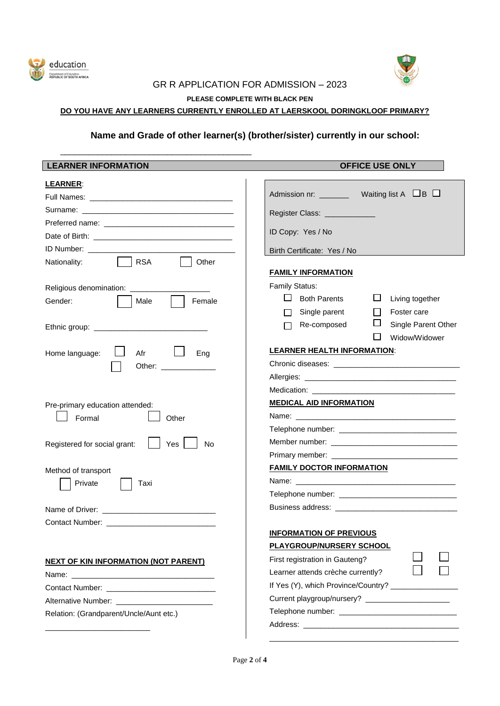



## GR R APPLICATION FOR ADMISSION – 2023

**PLEASE COMPLETE WITH BLACK PEN**

## **DO YOU HAVE ANY LEARNERS CURRENTLY ENROLLED AT LAERSKOOL DORINGKLOOF PRIMARY?**

\_\_\_\_\_\_\_\_\_\_\_\_\_\_\_\_\_\_\_\_\_\_\_\_\_\_\_\_\_\_\_\_\_\_\_\_\_\_\_\_\_

## **Name and Grade of other learner(s) (brother/sister) currently in our school:**

| <b>LEARNER INFORMATION</b>                       | <b>OFFICE USE ONLY</b>                              |  |  |
|--------------------------------------------------|-----------------------------------------------------|--|--|
| <b>LEARNER:</b>                                  |                                                     |  |  |
|                                                  |                                                     |  |  |
|                                                  | Register Class: _____________                       |  |  |
|                                                  |                                                     |  |  |
|                                                  | ID Copy: Yes / No                                   |  |  |
|                                                  | Birth Certificate: Yes / No                         |  |  |
| <b>RSA</b><br>Other<br>Nationality:              |                                                     |  |  |
|                                                  | <b>FAMILY INFORMATION</b>                           |  |  |
| Religious denomination: __________               | Family Status:                                      |  |  |
| Gender:<br>Female<br>Male                        | $\Box$ Both Parents<br>ப<br>Living together         |  |  |
|                                                  | Single parent<br>Foster care<br>П                   |  |  |
|                                                  | Re-composed<br>Single Parent Other                  |  |  |
|                                                  | Widow/Widower<br><b>LEARNER HEALTH INFORMATION:</b> |  |  |
| Home language:<br>Afr<br>Eng                     |                                                     |  |  |
| Other: ______________                            |                                                     |  |  |
|                                                  |                                                     |  |  |
| Pre-primary education attended:                  | <b>MEDICAL AID INFORMATION</b>                      |  |  |
| Formal<br>Other                                  |                                                     |  |  |
|                                                  |                                                     |  |  |
| Yes<br>Registered for social grant:<br><b>No</b> |                                                     |  |  |
|                                                  |                                                     |  |  |
| Method of transport                              | <b>FAMILY DOCTOR INFORMATION</b>                    |  |  |
| Private<br>Taxi                                  |                                                     |  |  |
|                                                  |                                                     |  |  |
|                                                  |                                                     |  |  |
|                                                  |                                                     |  |  |
|                                                  | <b>INFORMATION OF PREVIOUS</b>                      |  |  |
|                                                  | <b>PLAYGROUP/NURSERY SCHOOL</b>                     |  |  |
| <b>NEXT OF KIN INFORMATION (NOT PARENT)</b>      | First registration in Gauteng?                      |  |  |
|                                                  | Learner attends crèche currently?                   |  |  |
|                                                  | If Yes (Y), which Province/Country? _____________   |  |  |
|                                                  |                                                     |  |  |
| Relation: (Grandparent/Uncle/Aunt etc.)          |                                                     |  |  |
|                                                  |                                                     |  |  |
|                                                  |                                                     |  |  |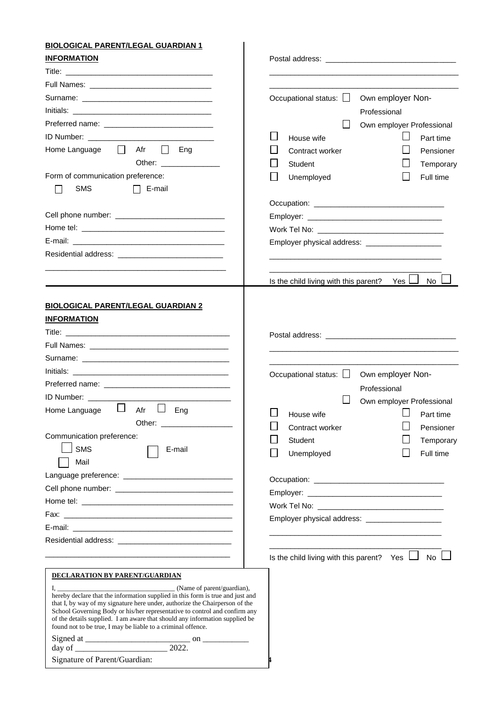## **BIOLOGICAL PARENT/LEGAL GUARDIAN 1**

| <b>INFORMATION</b>                                                                                                                                                                                                             |                                                       |                                                  |
|--------------------------------------------------------------------------------------------------------------------------------------------------------------------------------------------------------------------------------|-------------------------------------------------------|--------------------------------------------------|
|                                                                                                                                                                                                                                |                                                       |                                                  |
|                                                                                                                                                                                                                                |                                                       |                                                  |
|                                                                                                                                                                                                                                | Occupational status: $\Box$                           | Own employer Non-                                |
|                                                                                                                                                                                                                                |                                                       | Professional                                     |
|                                                                                                                                                                                                                                |                                                       | Own employer Professional                        |
|                                                                                                                                                                                                                                | House wife                                            | Part time                                        |
| $\sim$ 1.1<br>Afr<br>Home Language<br>$\mathbf{I}$<br>Eng                                                                                                                                                                      | Contract worker                                       | Pensioner                                        |
| Other: _______________                                                                                                                                                                                                         | Student                                               | Temporary                                        |
| Form of communication preference:                                                                                                                                                                                              | Unemployed                                            | Full time                                        |
| <b>SMS</b><br>$\Box$ E-mail                                                                                                                                                                                                    |                                                       |                                                  |
|                                                                                                                                                                                                                                |                                                       |                                                  |
|                                                                                                                                                                                                                                |                                                       |                                                  |
|                                                                                                                                                                                                                                |                                                       |                                                  |
|                                                                                                                                                                                                                                |                                                       |                                                  |
|                                                                                                                                                                                                                                |                                                       | Employer physical address: _____________________ |
| Residential address: experience of the state of the state of the state of the state of the state of the state of the state of the state of the state of the state of the state of the state of the state of the state of the s |                                                       |                                                  |
|                                                                                                                                                                                                                                |                                                       |                                                  |
|                                                                                                                                                                                                                                | Is the child living with this parent?                 | No l<br>Yes $\sqcup$                             |
|                                                                                                                                                                                                                                |                                                       |                                                  |
| <b>BIOLOGICAL PARENT/LEGAL GUARDIAN 2</b>                                                                                                                                                                                      |                                                       |                                                  |
| <b>INFORMATION</b>                                                                                                                                                                                                             |                                                       |                                                  |
|                                                                                                                                                                                                                                |                                                       |                                                  |
|                                                                                                                                                                                                                                |                                                       |                                                  |
|                                                                                                                                                                                                                                |                                                       |                                                  |
|                                                                                                                                                                                                                                | Occupational status: $\Box$                           | Own employer Non-                                |
| Preferred name: Note and the series of the series of the series of the series of the series of the series of the series of the series of the series of the series of the series of the series of the series of the series of t |                                                       |                                                  |
| ID Number: _________                                                                                                                                                                                                           |                                                       | Professional                                     |
| ப<br>Home Language<br>$\Box$<br>Afr<br>Eng                                                                                                                                                                                     |                                                       | Own employer Professional                        |
| Other: _                                                                                                                                                                                                                       | House wife                                            | Part time                                        |
| Communication preference:                                                                                                                                                                                                      | Contract worker                                       | Pensioner                                        |
| <b>SMS</b>                                                                                                                                                                                                                     | Student                                               | Temporary                                        |
| E-mail                                                                                                                                                                                                                         | Unemployed                                            | Full time                                        |
| Mail                                                                                                                                                                                                                           |                                                       |                                                  |
|                                                                                                                                                                                                                                |                                                       |                                                  |
|                                                                                                                                                                                                                                |                                                       |                                                  |
|                                                                                                                                                                                                                                |                                                       |                                                  |
|                                                                                                                                                                                                                                |                                                       | Employer physical address: ___________________   |
|                                                                                                                                                                                                                                |                                                       |                                                  |
|                                                                                                                                                                                                                                |                                                       |                                                  |
|                                                                                                                                                                                                                                | Is the child living with this parent? Yes $\Box$ No I |                                                  |
|                                                                                                                                                                                                                                |                                                       |                                                  |
| <b>DECLARATION BY PARENT/GUARDIAN</b>                                                                                                                                                                                          |                                                       |                                                  |
| (Name of parent/guardian),<br>hereby declare that the information supplied in this form is true and just and                                                                                                                   |                                                       |                                                  |
| that I, by way of my signature here under, authorize the Chairperson of the                                                                                                                                                    |                                                       |                                                  |
| School Governing Body or his/her representative to control and confirm any<br>of the details supplied. I am aware that should any information supplied be                                                                      |                                                       |                                                  |
| found not to be true, I may be liable to a criminal offence.                                                                                                                                                                   |                                                       |                                                  |
|                                                                                                                                                                                                                                |                                                       |                                                  |
|                                                                                                                                                                                                                                |                                                       |                                                  |
| Signature of Parent/Guardian:                                                                                                                                                                                                  |                                                       |                                                  |

\_\_\_\_\_\_\_\_\_\_\_\_\_\_\_\_\_\_\_\_\_\_\_\_\_\_\_\_\_\_\_\_\_\_\_\_\_\_\_\_\_\_\_\_\_\_\_\_\_\_